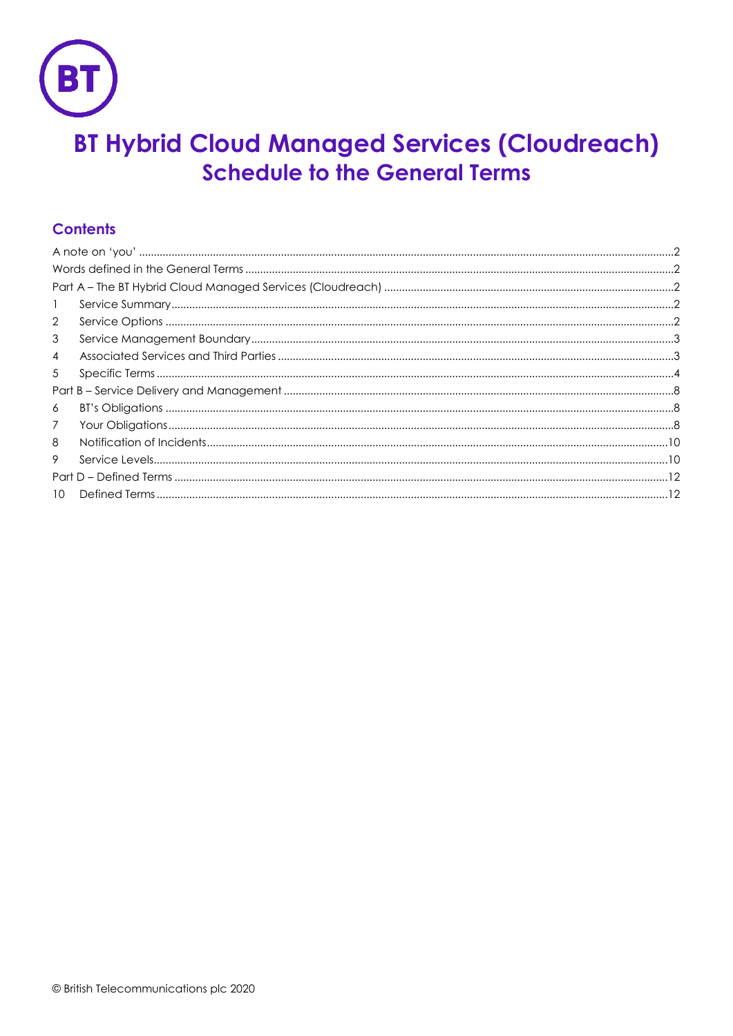

# **BT Hybrid Cloud Managed Services (Cloudreach) Schedule to the General Terms**

# **Contents**

| $\mathbf{1}$   |  |  |  |  |  |
|----------------|--|--|--|--|--|
| $\overline{2}$ |  |  |  |  |  |
| 3              |  |  |  |  |  |
| $\overline{4}$ |  |  |  |  |  |
| 5              |  |  |  |  |  |
|                |  |  |  |  |  |
| 6              |  |  |  |  |  |
| $\overline{7}$ |  |  |  |  |  |
| 8              |  |  |  |  |  |
| 9              |  |  |  |  |  |
|                |  |  |  |  |  |
| 10             |  |  |  |  |  |
|                |  |  |  |  |  |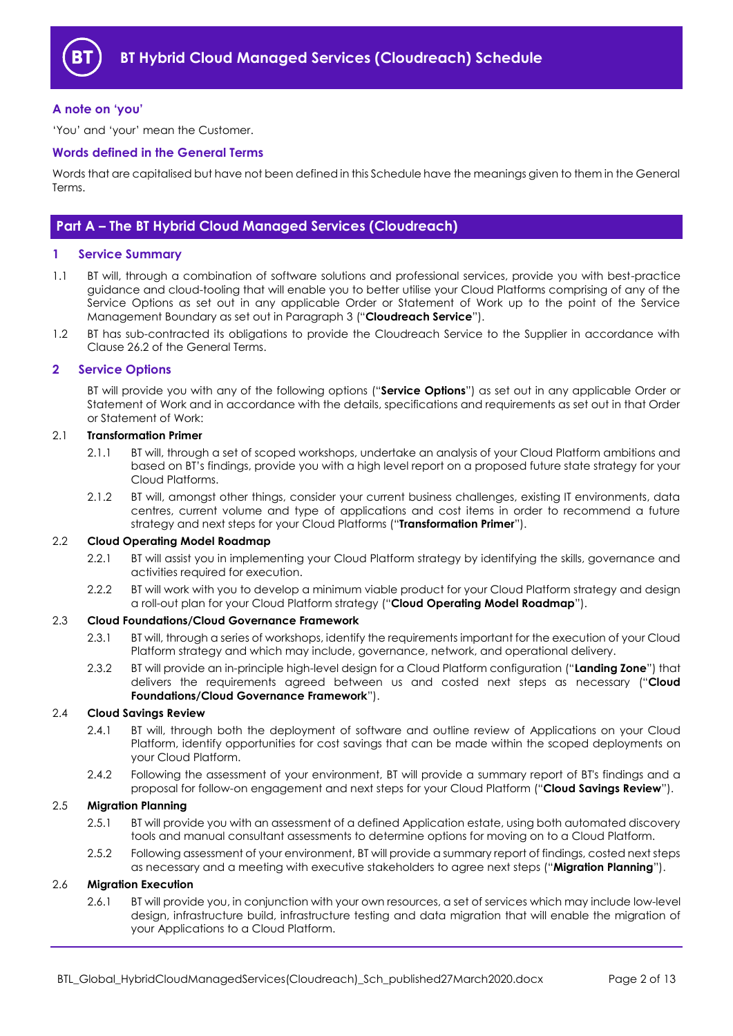

#### <span id="page-1-0"></span>**A note on 'you'**

'You' and 'your' mean the Customer.

#### <span id="page-1-1"></span>**Words defined in the General Terms**

Words that are capitalised but have not been defined in this Schedule have the meanings given to them in the General Terms.

### <span id="page-1-2"></span>**Part A – The BT Hybrid Cloud Managed Services (Cloudreach)**

#### <span id="page-1-3"></span>**1 Service Summary**

- 1.1 BT will, through a combination of software solutions and professional services, provide you with best-practice guidance and cloud-tooling that will enable you to better utilise your Cloud Platforms comprising of any of the Service Options as set out in any applicable Order or Statement of Work up to the point of the Service Management Boundary as set out in Paragrap[h 3](#page-2-0) ("**Cloudreach Service**").
- 1.2 BT has sub-contracted its obligations to provide the Cloudreach Service to the Supplier in accordance with Clause 26.2 of the General Terms.

#### <span id="page-1-4"></span>**2 Service Options**

BT will provide you with any of the following options ("**Service Options**") as set out in any applicable Order or Statement of Work and in accordance with the details, specifications and requirements as set out in that Order or Statement of Work:

#### <span id="page-1-12"></span>2.1 **Transformation Primer**

- 2.1.1 BT will, through a set of scoped workshops, undertake an analysis of your Cloud Platform ambitions and based on BT's findings, provide you with a high level report on a proposed future state strategy for your Cloud Platforms.
- 2.1.2 BT will, amongst other things, consider your current business challenges, existing IT environments, data centres, current volume and type of applications and cost items in order to recommend a future strategy and next steps for your Cloud Platforms ("**Transformation Primer**").

#### <span id="page-1-7"></span>2.2 **Cloud Operating Model Roadmap**

- 2.2.1 BT will assist you in implementing your Cloud Platform strategy by identifying the skills, governance and activities required for execution.
- 2.2.2 BT will work with you to develop a minimum viable product for your Cloud Platform strategy and design a roll-out plan for your Cloud Platform strategy ("**Cloud Operating Model Roadmap**").

#### <span id="page-1-6"></span>2.3 **Cloud Foundations/Cloud Governance Framework**

- 2.3.1 BT will, through a series of workshops, identify the requirements important for the execution of your Cloud Platform strategy and which may include, governance, network, and operational delivery.
- <span id="page-1-9"></span>2.3.2 BT will provide an in-principle high-level design for a Cloud Platform configuration ("**Landing Zone**") that delivers the requirements agreed between us and costed next steps as necessary ("**Cloud Foundations/Cloud Governance Framework**").

#### <span id="page-1-8"></span>2.4 **Cloud Savings Review**

- 2.4.1 BT will, through both the deployment of software and outline review of Applications on your Cloud Platform, identify opportunities for cost savings that can be made within the scoped deployments on your Cloud Platform.
- 2.4.2 Following the assessment of your environment, BT will provide a summary report of BT's findings and a proposal for follow-on engagement and next steps for your Cloud Platform ("**Cloud Savings Review**").

#### <span id="page-1-11"></span>2.5 **Migration Planning**

- 2.5.1 BT will provide you with an assessment of a defined Application estate, using both automated discovery tools and manual consultant assessments to determine options for moving on to a Cloud Platform.
- 2.5.2 Following assessment of your environment, BT will provide a summary report of findings, costed next steps as necessary and a meeting with executive stakeholders to agree next steps ("**Migration Planning**").

#### <span id="page-1-10"></span><span id="page-1-5"></span>2.6 **Migration Execution**

2.6.1 BT will provide you, in conjunction with your own resources, a set of services which may include low-level design, infrastructure build, infrastructure testing and data migration that will enable the migration of your Applications to a Cloud Platform.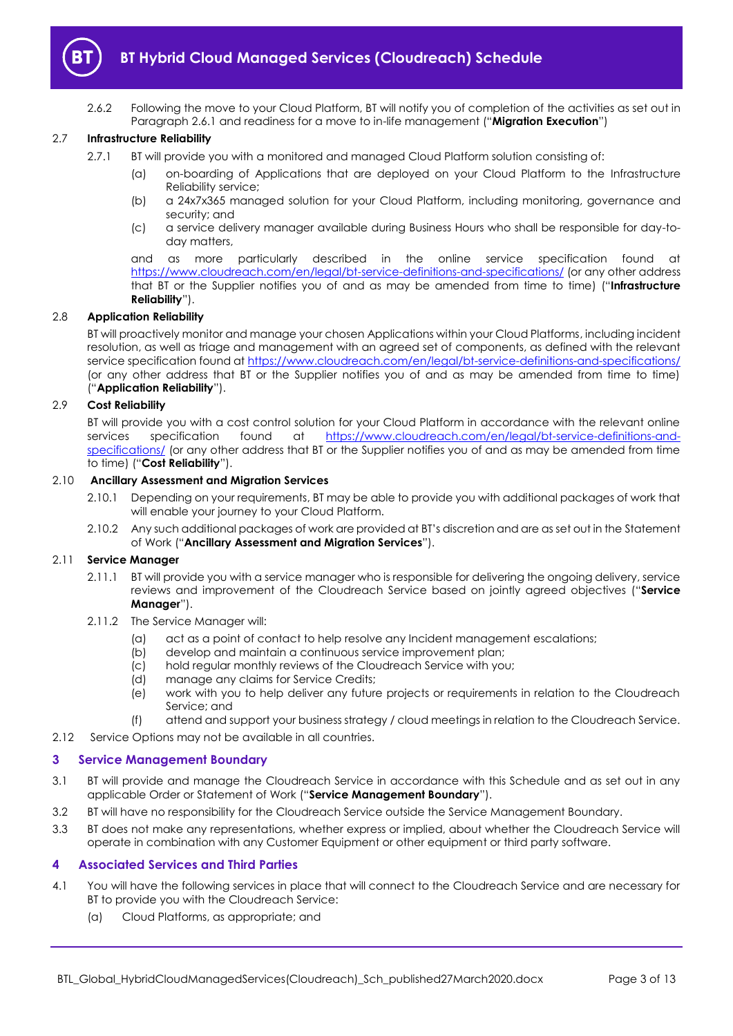

2.6.2 Following the move to your Cloud Platform, BT will notify you of completion of the activities as set out in Paragrap[h 2.6.1](#page-1-5) and readiness for a move to in-life management ("**Migration Execution**")

#### <span id="page-2-6"></span>2.7 **Infrastructure Reliability**

- 2.7.1 BT will provide you with a monitored and managed Cloud Platform solution consisting of:
	- (a) on-boarding of Applications that are deployed on your Cloud Platform to the Infrastructure Reliability service;
	- (b) a 24x7x365 managed solution for your Cloud Platform, including monitoring, governance and security; and
	- (c) a service delivery manager available during Business Hours who shall be responsible for day-today matters,

<span id="page-2-3"></span>and as more particularly described in the online service specification found at <https://www.cloudreach.com/en/legal/bt-service-definitions-and-specifications/> (or any other address that BT or the Supplier notifies you of and as may be amended from time to time) ("**Infrastructure Reliability**").

#### 2.8 **Application Reliability**

BT will proactively monitor and manage your chosen Applications within your Cloud Platforms, including incident resolution, as well as triage and management with an agreed set of components, as defined with the relevant service specification found at<https://www.cloudreach.com/en/legal/bt-service-definitions-and-specifications/> (or any other address that BT or the Supplier notifies you of and as may be amended from time to time) ("**Application Reliability**").

#### <span id="page-2-4"></span>2.9 **Cost Reliability**

BT will provide you with a cost control solution for your Cloud Platform in accordance with the relevant online services specification found at [https://www.cloudreach.com/en/legal/bt-service-definitions-and](https://www.cloudreach.com/en/legal/bt-service-definitions-and-specifications/)[specifications/](https://www.cloudreach.com/en/legal/bt-service-definitions-and-specifications/) (or any other address that BT or the Supplier notifies you of and as may be amended from time to time) ("**Cost Reliability**").

#### 2.10 **Ancillary Assessment and Migration Services**

- <span id="page-2-2"></span>2.10.1 Depending on your requirements, BT may be able to provide you with additional packages of work that will enable your journey to your Cloud Platform.
- 2.10.2 Any such additional packages of work are provided at BT's discretion and are as set out in the Statement of Work ("**Ancillary Assessment and Migration Services**").

#### 2.11 **Service Manager**

- <span id="page-2-8"></span>2.11.1 BT will provide you with a service manager who is responsible for delivering the ongoing delivery, service reviews and improvement of the Cloudreach Service based on jointly agreed objectives ("**Service Manager**").
- 2.11.2 The Service Manager will:
	- (a) act as a point of contact to help resolve any Incident management escalations;
	- (b) develop and maintain a continuous service improvement plan;
	- (c) hold regular monthly reviews of the Cloudreach Service with you;
	- (d) manage any claims for Service Credits;
	- (e) work with you to help deliver any future projects or requirements in relation to the Cloudreach Service; and
	- (f) attend and support your business strategy / cloud meetings in relation to the Cloudreach Service.
- 2.12 Service Options may not be available in all countries.

#### <span id="page-2-0"></span>**3 Service Management Boundary**

- <span id="page-2-7"></span>3.1 BT will provide and manage the Cloudreach Service in accordance with this Schedule and as set out in any applicable Order or Statement of Work ("**Service Management Boundary**").
- 3.2 BT will have no responsibility for the Cloudreach Service outside the Service Management Boundary.
- 3.3 BT does not make any representations, whether express or implied, about whether the Cloudreach Service will operate in combination with any Customer Equipment or other equipment or third party software.

#### <span id="page-2-1"></span>**4 Associated Services and Third Parties**

- <span id="page-2-5"></span>4.1 You will have the following services in place that will connect to the Cloudreach Service and are necessary for BT to provide you with the Cloudreach Service:
	- (a) Cloud Platforms, as appropriate; and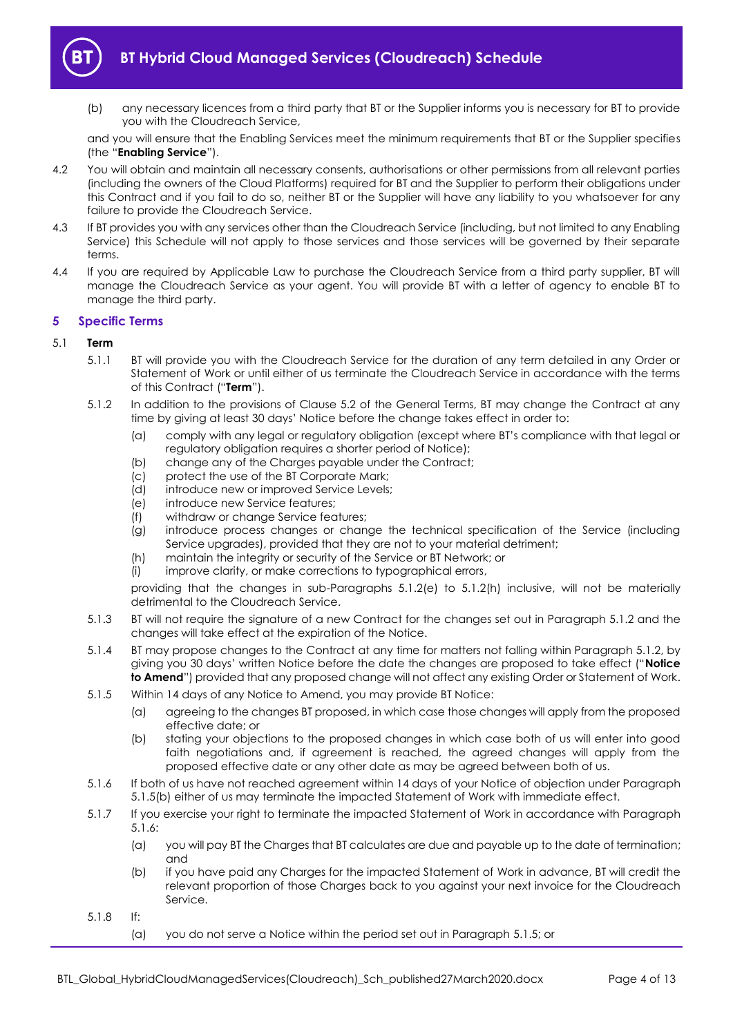

(b) any necessary licences from a third party that BT or the Supplier informs you is necessary for BT to provide you with the Cloudreach Service,

and you will ensure that the Enabling Services meet the minimum requirements that BT or the Supplier specifies (the "**Enabling Service**").

- 4.2 You will obtain and maintain all necessary consents, authorisations or other permissions from all relevant parties (including the owners of the Cloud Platforms) required for BT and the Supplier to perform their obligations under this Contract and if you fail to do so, neither BT or the Supplier will have any liability to you whatsoever for any failure to provide the Cloudreach Service.
- 4.3 If BT provides you with any services other than the Cloudreach Service (including, but not limited to any Enabling Service) this Schedule will not apply to those services and those services will be governed by their separate terms.
- 4.4 If you are required by Applicable Law to purchase the Cloudreach Service from a third party supplier, BT will manage the Cloudreach Service as your agent. You will provide BT with a letter of agency to enable BT to manage the third party.

#### <span id="page-3-0"></span>**5 Specific Terms**

#### <span id="page-3-7"></span>5.1 **Term**

- 5.1.1 BT will provide you with the Cloudreach Service for the duration of any term detailed in any Order or Statement of Work or until either of us terminate the Cloudreach Service in accordance with the terms of this Contract ("**Term**").
- <span id="page-3-2"></span><span id="page-3-1"></span>5.1.2 In addition to the provisions of Clause 5.2 of the General Terms, BT may change the Contract at any time by giving at least 30 days' Notice before the change takes effect in order to:
	- (a) comply with any legal or regulatory obligation (except where BT's compliance with that legal or regulatory obligation requires a shorter period of Notice);
	- (b) change any of the Charges payable under the Contract;
	- (c) protect the use of the BT Corporate Mark;
	- (d) introduce new or improved Service Levels;
	- (e) introduce new Service features;
	- (f) withdraw or change Service features;
	- (g) introduce process changes or change the technical specification of the Service (including Service upgrades), provided that they are not to your material detriment;
	- (h) maintain the integrity or security of the Service or BT Network; or
	- (i) improve clarity, or make corrections to typographical errors,

providing that the changes in sub-Paragraphs [5.1.2](#page-3-1)[\(e\)](#page-3-2) to [5.1.2](#page-3-1)[\(h\)](#page-3-3) inclusive, will not be materially detrimental to the Cloudreach Service.

- <span id="page-3-3"></span>5.1.3 BT will not require the signature of a new Contract for the changes set out in Paragraph [5.1.2](#page-3-1) and the changes will take effect at the expiration of the Notice.
- 5.1.4 BT may propose changes to the Contract at any time for matters not falling within Paragraph [5.1.2,](#page-3-1) by giving you 30 days' written Notice before the date the changes are proposed to take effect ("**Notice to Amend**") provided that any proposed change will not affect any existing Order or Statement of Work.
- <span id="page-3-6"></span><span id="page-3-4"></span>5.1.5 Within 14 days of any Notice to Amend, you may provide BT Notice:
	- (a) agreeing to the changes BT proposed, in which case those changes will apply from the proposed effective date; or
	- (b) stating your objections to the proposed changes in which case both of us will enter into good faith negotiations and, if agreement is reached, the agreed changes will apply from the proposed effective date or any other date as may be agreed between both of us.
- <span id="page-3-5"></span>5.1.6 If both of us have not reached agreement within 14 days of your Notice of objection under Paragraph [5.1.5\(b\)](#page-3-4) either of us may terminate the impacted Statement of Work with immediate effect.
- 5.1.7 If you exercise your right to terminate the impacted Statement of Work in accordance with Paragraph [5.1.6:](#page-3-5)
	- (a) you will pay BT the Charges that BT calculates are due and payable up to the date of termination; and
	- (b) if you have paid any Charges for the impacted Statement of Work in advance, BT will credit the relevant proportion of those Charges back to you against your next invoice for the Cloudreach Service.
- 5.1.8 If:
	- (a) you do not serve a Notice within the period set out in Paragraph [5.1.5;](#page-3-6) or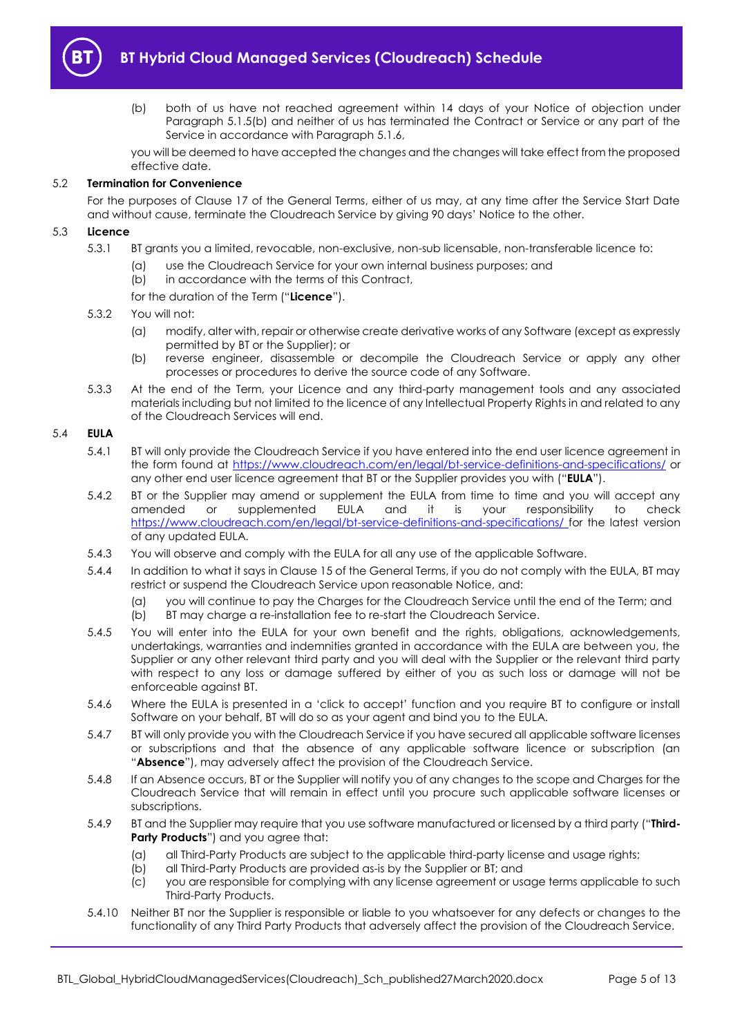

(b) both of us have not reached agreement within 14 days of your Notice of objection under Paragraph [5.1.5\(b\)](#page-3-4) and neither of us has terminated the Contract or Service or any part of the Service in accordance with Paragraph [5.1.6,](#page-3-5)

you will be deemed to have accepted the changes and the changes will take effect from the proposed effective date.

#### 5.2 **Termination for Convenience**

For the purposes of Clause 17 of the General Terms, either of us may, at any time after the Service Start Date and without cause, terminate the Cloudreach Service by giving 90 days' Notice to the other.

#### <span id="page-4-1"></span>5.3 **Licence**

- 5.3.1 BT grants you a limited, revocable, non-exclusive, non-sub licensable, non-transferable licence to:
	- (a) use the Cloudreach Service for your own internal business purposes; and
	- (b) in accordance with the terms of this Contract,
	- for the duration of the Term ("**Licence**").

#### 5.3.2 You will not:

- (a) modify, alter with, repair or otherwise create derivative works of any Software (except as expressly permitted by BT or the Supplier); or
- (b) reverse engineer, disassemble or decompile the Cloudreach Service or apply any other processes or procedures to derive the source code of any Software.
- 5.3.3 At the end of the Term, your Licence and any third-party management tools and any associated materials including but not limited to the licence of any Intellectual Property Rights in and related to any of the Cloudreach Services will end.

#### <span id="page-4-0"></span>5.4 **EULA**

- 5.4.1 BT will only provide the Cloudreach Service if you have entered into the end user licence agreement in the form found at<https://www.cloudreach.com/en/legal/bt-service-definitions-and-specifications/> or any other end user licence agreement that BT or the Supplier provides you with ("**EULA**").
- 5.4.2 BT or the Supplier may amend or supplement the EULA from time to time and you will accept any amended or supplemented EULA and it is your responsibility to check <https://www.cloudreach.com/en/legal/bt-service-definitions-and-specifications/> for the latest version of any updated EULA.
- 5.4.3 You will observe and comply with the EULA for all any use of the applicable Software.
- 5.4.4 In addition to what it says in Clause 15 of the General Terms, if you do not comply with the EULA, BT may restrict or suspend the Cloudreach Service upon reasonable Notice, and:
	- (a) you will continue to pay the Charges for the Cloudreach Service until the end of the Term; and (b) BT may charge a re-installation fee to re-start the Cloudreach Service.
	- BT may charge a re-installation fee to re-start the Cloudreach Service.
- 5.4.5 You will enter into the EULA for your own benefit and the rights, obligations, acknowledgements, undertakings, warranties and indemnities granted in accordance with the EULA are between you, the Supplier or any other relevant third party and you will deal with the Supplier or the relevant third party with respect to any loss or damage suffered by either of you as such loss or damage will not be enforceable against BT.
- 5.4.6 Where the EULA is presented in a 'click to accept' function and you require BT to configure or install Software on your behalf, BT will do so as your agent and bind you to the EULA.
- 5.4.7 BT will only provide you with the Cloudreach Service if you have secured all applicable software licenses or subscriptions and that the absence of any applicable software licence or subscription (an "**Absence**"), may adversely affect the provision of the Cloudreach Service.
- 5.4.8 If an Absence occurs, BT or the Supplier will notify you of any changes to the scope and Charges for the Cloudreach Service that will remain in effect until you procure such applicable software licenses or subscriptions.
- <span id="page-4-2"></span>5.4.9 BT and the Supplier may require that you use software manufactured or licensed by a third party ("**Third-Party Products**") and you agree that:
	- (a) all Third-Party Products are subject to the applicable third-party license and usage rights;
	- (b) all Third-Party Products are provided as-is by the Supplier or BT; and
	- (c) you are responsible for complying with any license agreement or usage terms applicable to such Third-Party Products.
- 5.4.10 Neither BT nor the Supplier is responsible or liable to you whatsoever for any defects or changes to the functionality of any Third Party Products that adversely affect the provision of the Cloudreach Service.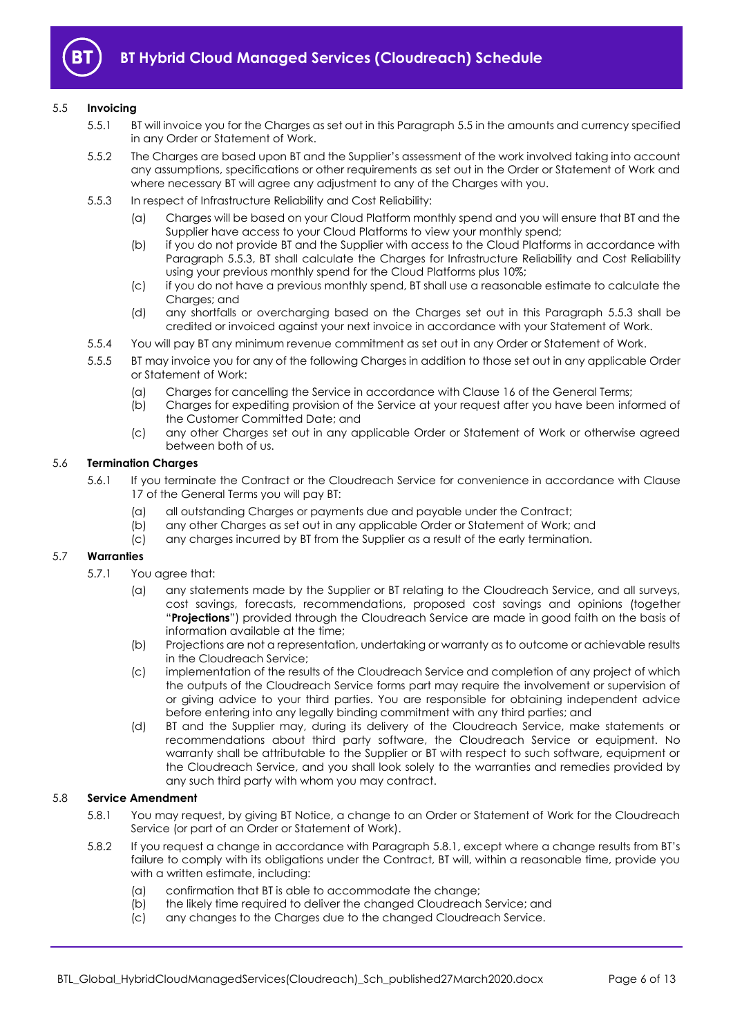

#### <span id="page-5-0"></span>5.5 **Invoicing**

- 5.5.1 BT will invoice you for the Charges as set out in this Paragrap[h 5.5](#page-5-0) in the amounts and currency specified in any Order or Statement of Work.
- 5.5.2 The Charges are based upon BT and the Supplier's assessment of the work involved taking into account any assumptions, specifications or other requirements as set out in the Order or Statement of Work and where necessary BT will agree any adjustment to any of the Charges with you.
- <span id="page-5-1"></span>5.5.3 In respect of Infrastructure Reliability and Cost Reliability:
	- (a) Charges will be based on your Cloud Platform monthly spend and you will ensure that BT and the Supplier have access to your Cloud Platforms to view your monthly spend;
	- (b) if you do not provide BT and the Supplier with access to the Cloud Platforms in accordance with Paragraph [5.5.3,](#page-5-1) BT shall calculate the Charges for Infrastructure Reliability and Cost Reliability using your previous monthly spend for the Cloud Platforms plus 10%;
	- (c) if you do not have a previous monthly spend, BT shall use a reasonable estimate to calculate the Charges; and
	- (d) any shortfalls or overcharging based on the Charges set out in this Paragraph [5.5.3](#page-5-1) shall be credited or invoiced against your next invoice in accordance with your Statement of Work.
- 5.5.4 You will pay BT any minimum revenue commitment as set out in any Order or Statement of Work.
- 5.5.5 BT may invoice you for any of the following Charges in addition to those set out in any applicable Order or Statement of Work:
	- (a) Charges for cancelling the Service in accordance with Clause 16 of the General Terms;
	- (b) Charges for expediting provision of the Service at your request after you have been informed of the Customer Committed Date; and
	- (c) any other Charges set out in any applicable Order or Statement of Work or otherwise agreed between both of us.

#### 5.6 **Termination Charges**

- 5.6.1 If you terminate the Contract or the Cloudreach Service for convenience in accordance with Clause 17 of the General Terms you will pay BT:
	- (a) all outstanding Charges or payments due and payable under the Contract;
	- (b) any other Charges as set out in any applicable Order or Statement of Work; and
	- (c) any charges incurred by BT from the Supplier as a result of the early termination.

#### 5.7 **Warranties**

- 5.7.1 You agree that:
	- (a) any statements made by the Supplier or BT relating to the Cloudreach Service, and all surveys, cost savings, forecasts, recommendations, proposed cost savings and opinions (together "**Projections**") provided through the Cloudreach Service are made in good faith on the basis of information available at the time;
	- (b) Projections are not a representation, undertaking or warranty as to outcome or achievable results in the Cloudreach Service;
	- (c) implementation of the results of the Cloudreach Service and completion of any project of which the outputs of the Cloudreach Service forms part may require the involvement or supervision of or giving advice to your third parties. You are responsible for obtaining independent advice before entering into any legally binding commitment with any third parties; and
	- (d) BT and the Supplier may, during its delivery of the Cloudreach Service, make statements or recommendations about third party software, the Cloudreach Service or equipment. No warranty shall be attributable to the Supplier or BT with respect to such software, equipment or the Cloudreach Service, and you shall look solely to the warranties and remedies provided by any such third party with whom you may contract.

#### <span id="page-5-2"></span>5.8 **Service Amendment**

- 5.8.1 You may request, by giving BT Notice, a change to an Order or Statement of Work for the Cloudreach Service (or part of an Order or Statement of Work).
- <span id="page-5-3"></span>5.8.2 If you request a change in accordance with Paragrap[h 5.8.1](#page-5-2), except where a change results from BT's failure to comply with its obligations under the Contract, BT will, within a reasonable time, provide you with a written estimate, including:
	- (a) confirmation that BT is able to accommodate the change;
	- (b) the likely time required to deliver the changed Cloudreach Service; and
	- (c) any changes to the Charges due to the changed Cloudreach Service.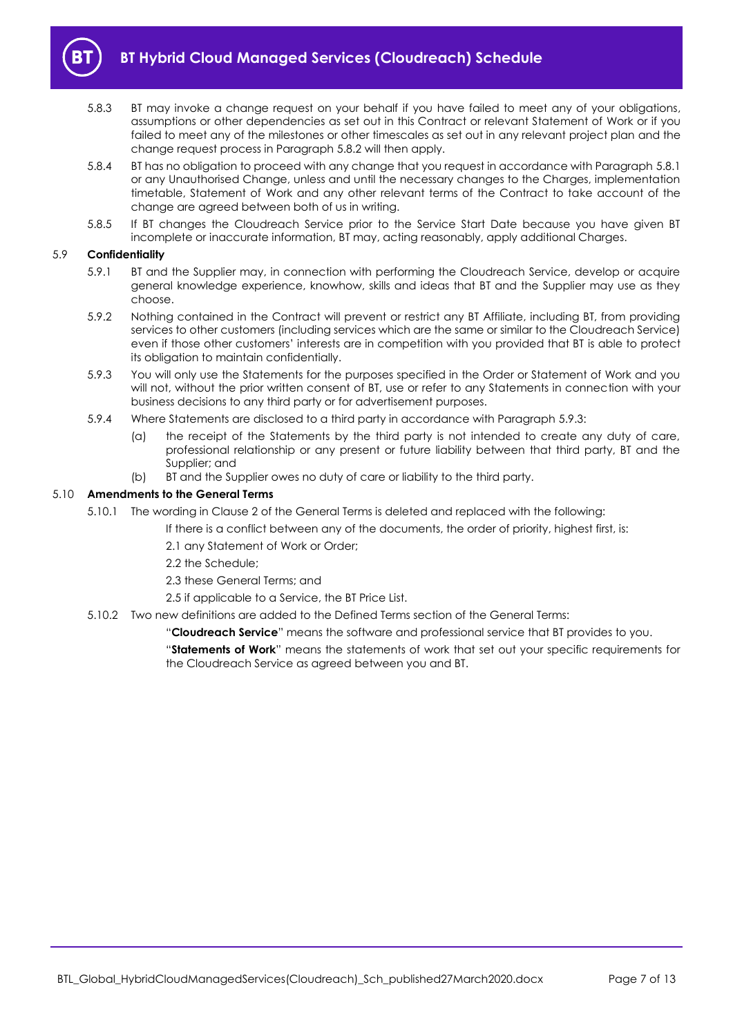

- 5.8.3 BT may invoke a change request on your behalf if you have failed to meet any of your obligations, assumptions or other dependencies as set out in this Contract or relevant Statement of Work or if you failed to meet any of the milestones or other timescales as set out in any relevant project plan and the change request process in Paragraph [5.8.2](#page-5-3) will then apply.
- 5.8.4 BT has no obligation to proceed with any change that you request in accordance with Paragraph [5.8.1](#page-5-2) or any Unauthorised Change, unless and until the necessary changes to the Charges, implementation timetable, Statement of Work and any other relevant terms of the Contract to take account of the change are agreed between both of us in writing.
- 5.8.5 If BT changes the Cloudreach Service prior to the Service Start Date because you have given BT incomplete or inaccurate information, BT may, acting reasonably, apply additional Charges.

#### 5.9 **Confidentiality**

- 5.9.1 BT and the Supplier may, in connection with performing the Cloudreach Service, develop or acquire general knowledge experience, knowhow, skills and ideas that BT and the Supplier may use as they choose.
- 5.9.2 Nothing contained in the Contract will prevent or restrict any BT Affiliate, including BT, from providing services to other customers (including services which are the same or similar to the Cloudreach Service) even if those other customers' interests are in competition with you provided that BT is able to protect its obligation to maintain confidentially.
- <span id="page-6-0"></span>5.9.3 You will only use the Statements for the purposes specified in the Order or Statement of Work and you will not, without the prior written consent of BT, use or refer to any Statements in connection with your business decisions to any third party or for advertisement purposes.
- 5.9.4 Where Statements are disclosed to a third party in accordance with Paragraph [5.9.3:](#page-6-0)
	- (a) the receipt of the Statements by the third party is not intended to create any duty of care, professional relationship or any present or future liability between that third party, BT and the Supplier; and
	- (b) BT and the Supplier owes no duty of care or liability to the third party.

#### 5.10 **Amendments to the General Terms**

- 5.10.1 The wording in Clause 2 of the General Terms is deleted and replaced with the following:
	- If there is a conflict between any of the documents, the order of priority, highest first, is:
	- 2.1 any Statement of Work or Order;
	- 2.2 the Schedule;
	- 2.3 these General Terms; and
	- 2.5 if applicable to a Service, the BT Price List.
- 5.10.2 Two new definitions are added to the Defined Terms section of the General Terms:

"**Cloudreach Service**" means the software and professional service that BT provides to you.

"**Statements of Work**" means the statements of work that set out your specific requirements for the Cloudreach Service as agreed between you and BT.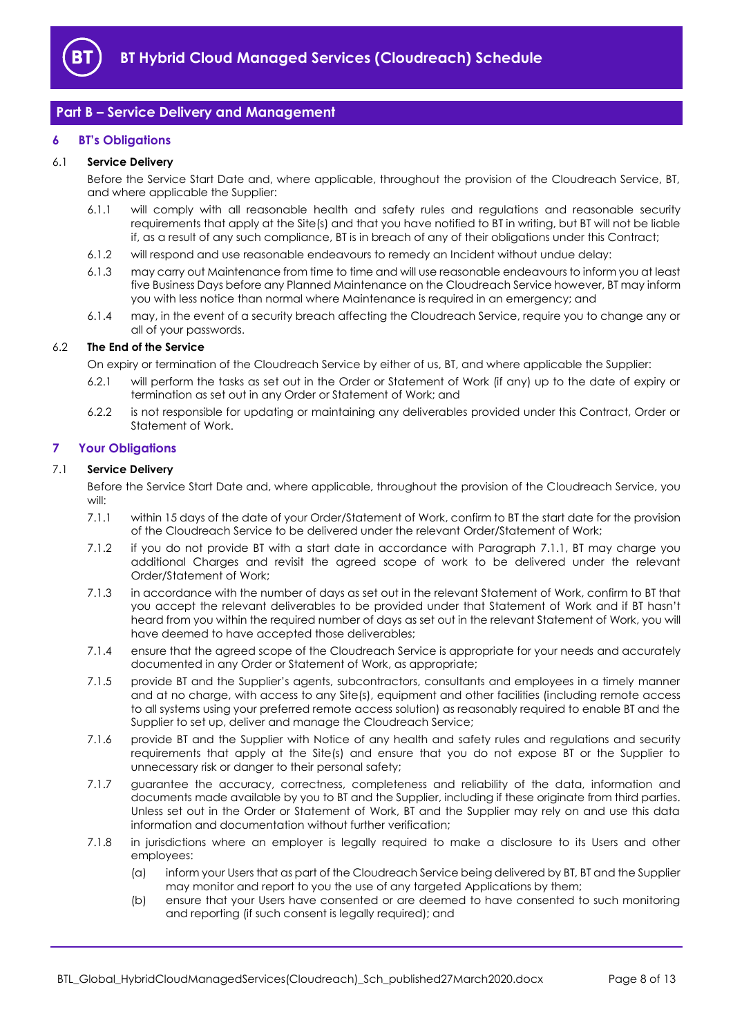

## <span id="page-7-0"></span>**Part B – Service Delivery and Management**

#### <span id="page-7-1"></span>**6 BT's Obligations**

#### 6.1 **Service Delivery**

Before the Service Start Date and, where applicable, throughout the provision of the Cloudreach Service, BT, and where applicable the Supplier:

- 6.1.1 will comply with all reasonable health and safety rules and regulations and reasonable security requirements that apply at the Site(s) and that you have notified to BT in writing, but BT will not be liable if, as a result of any such compliance, BT is in breach of any of their obligations under this Contract;
- 6.1.2 will respond and use reasonable endeavours to remedy an Incident without undue delay:
- 6.1.3 may carry out Maintenance from time to time and will use reasonable endeavours to inform you at least five Business Days before any Planned Maintenance on the Cloudreach Service however, BT may inform you with less notice than normal where Maintenance is required in an emergency; and
- 6.1.4 may, in the event of a security breach affecting the Cloudreach Service, require you to change any or all of your passwords.

#### 6.2 **The End of the Service**

On expiry or termination of the Cloudreach Service by either of us, BT, and where applicable the Supplier:

- 6.2.1 will perform the tasks as set out in the Order or Statement of Work (if any) up to the date of expiry or termination as set out in any Order or Statement of Work; and
- 6.2.2 is not responsible for updating or maintaining any deliverables provided under this Contract, Order or Statement of Work.

#### <span id="page-7-2"></span>**7 Your Obligations**

#### 7.1 **Service Delivery**

Before the Service Start Date and, where applicable, throughout the provision of the Cloudreach Service, you will:

- <span id="page-7-3"></span>7.1.1 within 15 days of the date of your Order/Statement of Work, confirm to BT the start date for the provision of the Cloudreach Service to be delivered under the relevant Order/Statement of Work;
- 7.1.2 if you do not provide BT with a start date in accordance with Paragraph [7.1.1,](#page-7-3) BT may charge you additional Charges and revisit the agreed scope of work to be delivered under the relevant Order/Statement of Work;
- 7.1.3 in accordance with the number of days as set out in the relevant Statement of Work, confirm to BT that you accept the relevant deliverables to be provided under that Statement of Work and if BT hasn't heard from you within the required number of days as set out in the relevant Statement of Work, you will have deemed to have accepted those deliverables;
- 7.1.4 ensure that the agreed scope of the Cloudreach Service is appropriate for your needs and accurately documented in any Order or Statement of Work, as appropriate;
- 7.1.5 provide BT and the Supplier's agents, subcontractors, consultants and employees in a timely manner and at no charge, with access to any Site(s), equipment and other facilities (including remote access to all systems using your preferred remote access solution) as reasonably required to enable BT and the Supplier to set up, deliver and manage the Cloudreach Service;
- 7.1.6 provide BT and the Supplier with Notice of any health and safety rules and regulations and security requirements that apply at the Site(s) and ensure that you do not expose BT or the Supplier to unnecessary risk or danger to their personal safety;
- 7.1.7 guarantee the accuracy, correctness, completeness and reliability of the data, information and documents made available by you to BT and the Supplier, including if these originate from third parties. Unless set out in the Order or Statement of Work, BT and the Supplier may rely on and use this data information and documentation without further verification;
- <span id="page-7-4"></span>7.1.8 in jurisdictions where an employer is legally required to make a disclosure to its Users and other employees:
	- (a) inform your Users that as part of the Cloudreach Service being delivered by BT, BT and the Supplier may monitor and report to you the use of any targeted Applications by them;
	- (b) ensure that your Users have consented or are deemed to have consented to such monitoring and reporting (if such consent is legally required); and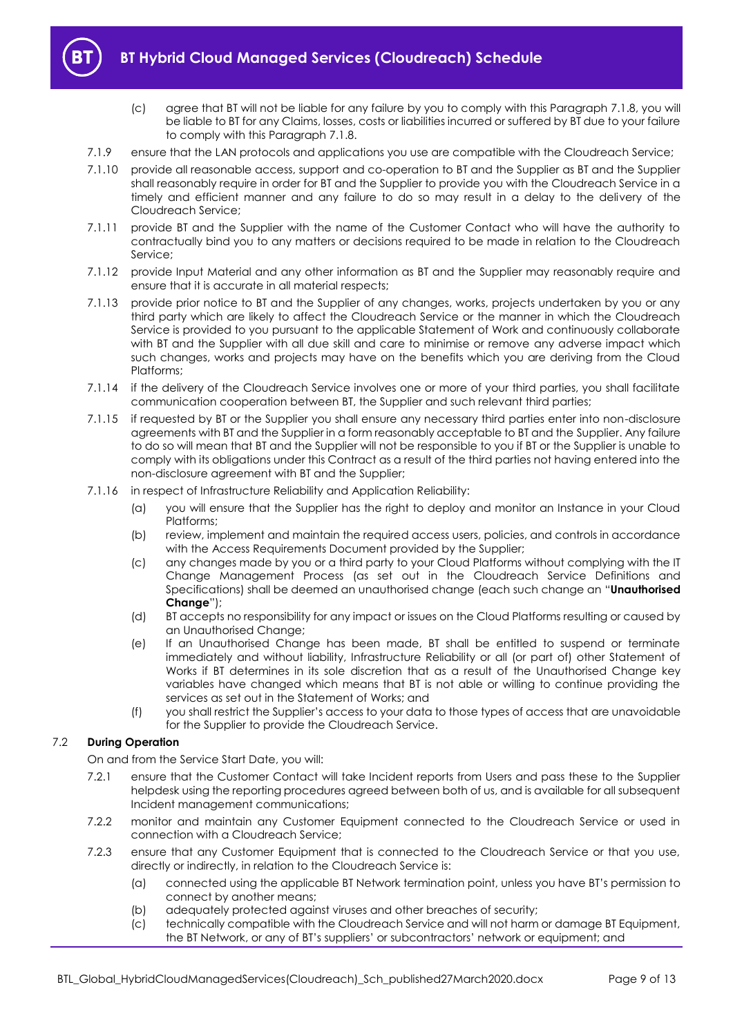

- (c) agree that BT will not be liable for any failure by you to comply with this Paragraph [7.1.8,](#page-7-4) you will be liable to BT for any Claims, losses, costs or liabilities incurred or suffered by BT due to your failure to comply with this Paragrap[h 7.1.8.](#page-7-4)
- 7.1.9 ensure that the LAN protocols and applications you use are compatible with the Cloudreach Service;
- 7.1.10 provide all reasonable access, support and co-operation to BT and the Supplier as BT and the Supplier shall reasonably require in order for BT and the Supplier to provide you with the Cloudreach Service in a timely and efficient manner and any failure to do so may result in a delay to the delivery of the Cloudreach Service;
- 7.1.11 provide BT and the Supplier with the name of the Customer Contact who will have the authority to contractually bind you to any matters or decisions required to be made in relation to the Cloudreach Service;
- 7.1.12 provide Input Material and any other information as BT and the Supplier may reasonably require and ensure that it is accurate in all material respects;
- 7.1.13 provide prior notice to BT and the Supplier of any changes, works, projects undertaken by you or any third party which are likely to affect the Cloudreach Service or the manner in which the Cloudreach Service is provided to you pursuant to the applicable Statement of Work and continuously collaborate with BT and the Supplier with all due skill and care to minimise or remove any adverse impact which such changes, works and projects may have on the benefits which you are deriving from the Cloud Platforms;
- 7.1.14 if the delivery of the Cloudreach Service involves one or more of your third parties, you shall facilitate communication cooperation between BT, the Supplier and such relevant third parties;
- 7.1.15 if requested by BT or the Supplier you shall ensure any necessary third parties enter into non-disclosure agreements with BT and the Supplier in a form reasonably acceptable to BT and the Supplier. Any failure to do so will mean that BT and the Supplier will not be responsible to you if BT or the Supplier is unable to comply with its obligations under this Contract as a result of the third parties not having entered into the non-disclosure agreement with BT and the Supplier;
- <span id="page-8-0"></span>7.1.16 in respect of Infrastructure Reliability and Application Reliability:
	- (a) you will ensure that the Supplier has the right to deploy and monitor an Instance in your Cloud Platforms;
	- (b) review, implement and maintain the required access users, policies, and controls in accordance with the Access Requirements Document provided by the Supplier;
	- (c) any changes made by you or a third party to your Cloud Platforms without complying with the IT Change Management Process (as set out in the Cloudreach Service Definitions and Specifications) shall be deemed an unauthorised change (each such change an "**Unauthorised Change**");
	- (d) BT accepts no responsibility for any impact or issues on the Cloud Platforms resulting or caused by an Unauthorised Change;
	- (e) If an Unauthorised Change has been made, BT shall be entitled to suspend or terminate immediately and without liability, Infrastructure Reliability or all (or part of) other Statement of Works if BT determines in its sole discretion that as a result of the Unauthorised Change key variables have changed which means that BT is not able or willing to continue providing the services as set out in the Statement of Works; and
	- (f) you shall restrict the Supplier's access to your data to those types of access that are unavoidable for the Supplier to provide the Cloudreach Service.

#### 7.2 **During Operation**

On and from the Service Start Date, you will:

- 7.2.1 ensure that the Customer Contact will take Incident reports from Users and pass these to the Supplier helpdesk using the reporting procedures agreed between both of us, and is available for all subsequent Incident management communications;
- 7.2.2 monitor and maintain any Customer Equipment connected to the Cloudreach Service or used in connection with a Cloudreach Service;
- 7.2.3 ensure that any Customer Equipment that is connected to the Cloudreach Service or that you use, directly or indirectly, in relation to the Cloudreach Service is:
	- (a) connected using the applicable BT Network termination point, unless you have BT's permission to connect by another means;
	- (b) adequately protected against viruses and other breaches of security;
	- (c) technically compatible with the Cloudreach Service and will not harm or damage BT Equipment, the BT Network, or any of BT's suppliers' or subcontractors' network or equipment; and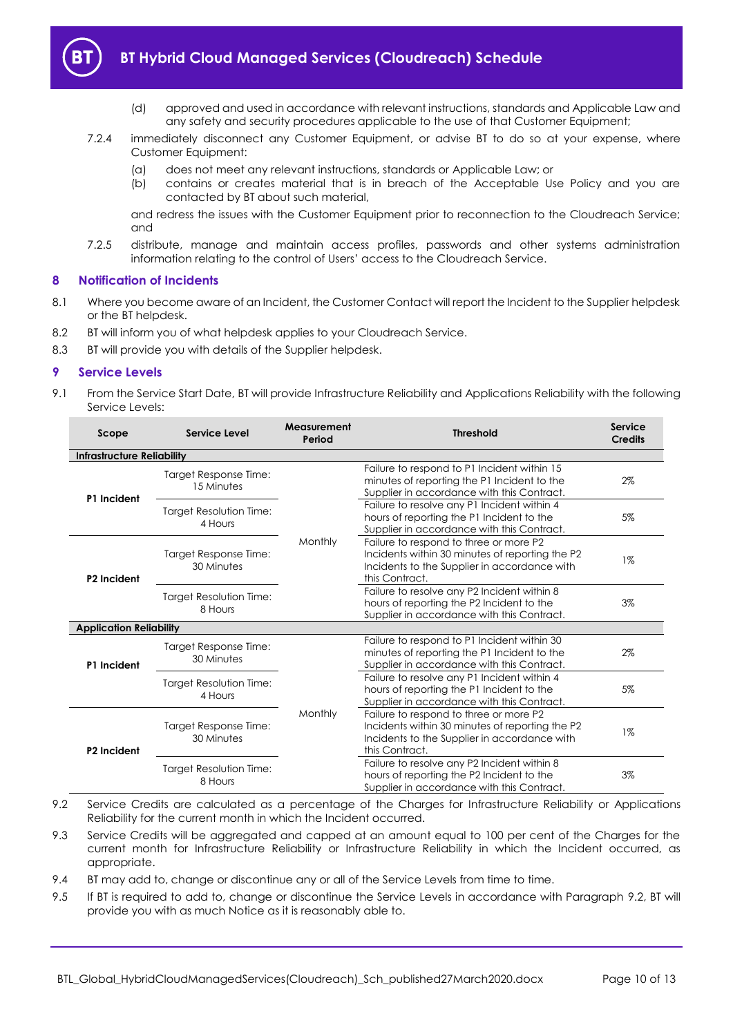

- (d) approved and used in accordance with relevant instructions, standards and Applicable Law and any safety and security procedures applicable to the use of that Customer Equipment;
- 7.2.4 immediately disconnect any Customer Equipment, or advise BT to do so at your expense, where Customer Equipment:
	- (a) does not meet any relevant instructions, standards or Applicable Law; or
	- (b) contains or creates material that is in breach of the Acceptable Use Policy and you are contacted by BT about such material,

and redress the issues with the Customer Equipment prior to reconnection to the Cloudreach Service; and

7.2.5 distribute, manage and maintain access profiles, passwords and other systems administration information relating to the control of Users' access to the Cloudreach Service.

#### <span id="page-9-0"></span>**8 Notification of Incidents**

- 8.1 Where you become aware of an Incident, the Customer Contact will report the Incident to the Supplier helpdesk or the BT helpdesk.
- 8.2 BT will inform you of what helpdesk applies to your Cloudreach Service.
- 8.3 BT will provide you with details of the Supplier helpdesk.

#### <span id="page-9-1"></span>**9 Service Levels**

9.1 From the Service Start Date, BT will provide Infrastructure Reliability and Applications Reliability with the following Service Levels:

| Scope                             | Service Level                             | <b>Measurement</b><br>Period | <b>Threshold</b>                                                                                                                                            | Service<br><b>Credits</b> |
|-----------------------------------|-------------------------------------------|------------------------------|-------------------------------------------------------------------------------------------------------------------------------------------------------------|---------------------------|
| <b>Infrastructure Reliability</b> |                                           |                              |                                                                                                                                                             |                           |
| P1 Incident                       | Target Response Time:<br>15 Minutes       | Monthly                      | Failure to respond to P1 Incident within 15<br>minutes of reporting the P1 Incident to the<br>Supplier in accordance with this Contract.                    | 2%                        |
|                                   | Target Resolution Time:<br>4 Hours        |                              | Failure to resolve any P1 Incident within 4<br>hours of reporting the P1 Incident to the<br>Supplier in accordance with this Contract.                      | 5%                        |
| P <sub>2</sub> Incident           | Target Response Time:<br>30 Minutes       |                              | Failure to respond to three or more P2<br>Incidents within 30 minutes of reporting the P2<br>Incidents to the Supplier in accordance with<br>this Contract. | $1\%$                     |
|                                   | <b>Target Resolution Time:</b><br>8 Hours |                              | Failure to resolve any P2 Incident within 8<br>hours of reporting the P2 Incident to the<br>Supplier in accordance with this Contract.                      | 3%                        |
| <b>Application Reliability</b>    |                                           |                              |                                                                                                                                                             |                           |
| P1 Incident                       | Target Response Time:<br>30 Minutes       | Monthly                      | Failure to respond to P1 Incident within 30<br>minutes of reporting the P1 Incident to the<br>Supplier in accordance with this Contract.                    | 2%                        |
|                                   | Target Resolution Time:<br>4 Hours        |                              | Failure to resolve any P1 Incident within 4<br>hours of reporting the P1 Incident to the<br>Supplier in accordance with this Contract.                      | 5%                        |
| P <sub>2</sub> Incident           | Target Response Time:<br>30 Minutes       |                              | Failure to respond to three or more P2<br>Incidents within 30 minutes of reporting the P2<br>Incidents to the Supplier in accordance with<br>this Contract. | $1\%$                     |
|                                   | Target Resolution Time:<br>8 Hours        |                              | Failure to resolve any P2 Incident within 8<br>hours of reporting the P2 Incident to the<br>Supplier in accordance with this Contract.                      | 3%                        |

- <span id="page-9-2"></span>9.2 Service Credits are calculated as a percentage of the Charges for Infrastructure Reliability or Applications Reliability for the current month in which the Incident occurred.
- 9.3 Service Credits will be aggregated and capped at an amount equal to 100 per cent of the Charges for the current month for Infrastructure Reliability or Infrastructure Reliability in which the Incident occurred, as appropriate.
- 9.4 BT may add to, change or discontinue any or all of the Service Levels from time to time.
- 9.5 If BT is required to add to, change or discontinue the Service Levels in accordance with Paragraph [9.2,](#page-9-2) BT will provide you with as much Notice as it is reasonably able to.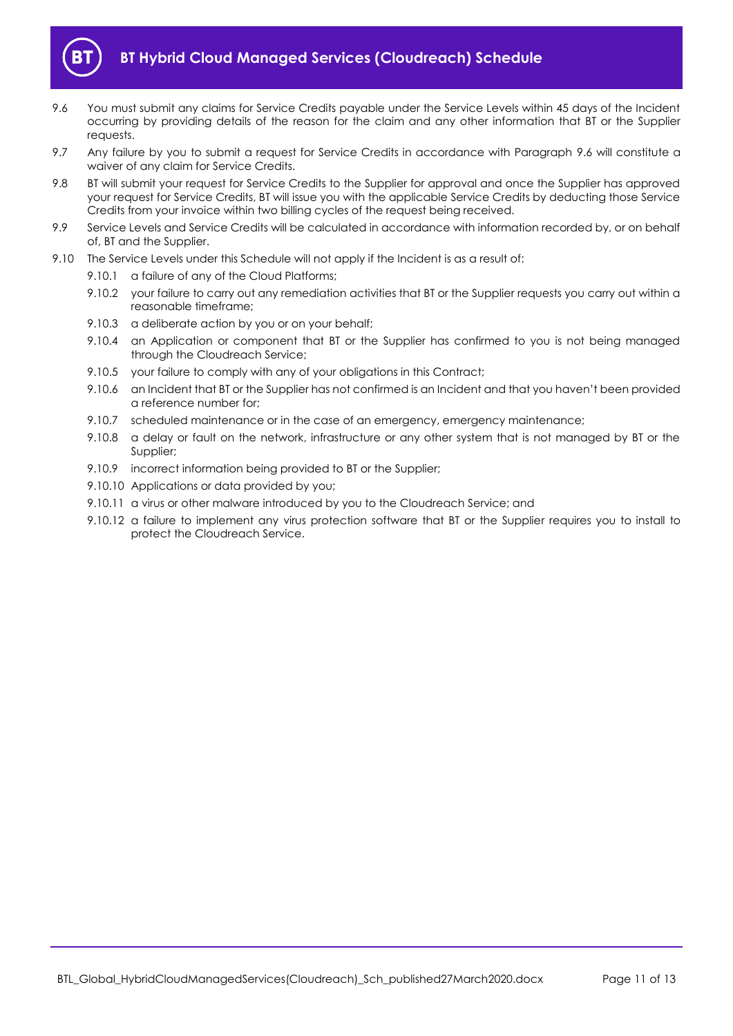

- <span id="page-10-0"></span>9.6 You must submit any claims for Service Credits payable under the Service Levels within 45 days of the Incident occurring by providing details of the reason for the claim and any other information that BT or the Supplier requests.
- 9.7 Any failure by you to submit a request for Service Credits in accordance with Paragraph [9.6](#page-10-0) will constitute a waiver of any claim for Service Credits.
- 9.8 BT will submit your request for Service Credits to the Supplier for approval and once the Supplier has approved your request for Service Credits, BT will issue you with the applicable Service Credits by deducting those Service Credits from your invoice within two billing cycles of the request being received.
- 9.9 Service Levels and Service Credits will be calculated in accordance with information recorded by, or on behalf of, BT and the Supplier.
- 9.10 The Service Levels under this Schedule will not apply if the Incident is as a result of:
	- 9.10.1 a failure of any of the Cloud Platforms;
	- 9.10.2 your failure to carry out any remediation activities that BT or the Supplier requests you carry out within a reasonable timeframe;
	- 9.10.3 a deliberate action by you or on your behalf;
	- 9.10.4 an Application or component that BT or the Supplier has confirmed to you is not being managed through the Cloudreach Service;
	- 9.10.5 your failure to comply with any of your obligations in this Contract;
	- 9.10.6 an Incident that BT or the Supplier has not confirmed is an Incident and that you haven't been provided a reference number for;
	- 9.10.7 scheduled maintenance or in the case of an emergency, emergency maintenance;
	- 9.10.8 a delay or fault on the network, infrastructure or any other system that is not managed by BT or the Supplier;
	- 9.10.9 incorrect information being provided to BT or the Supplier;
	- 9.10.10 Applications or data provided by you;
	- 9.10.11 a virus or other malware introduced by you to the Cloudreach Service; and
	- 9.10.12 a failure to implement any virus protection software that BT or the Supplier requires you to install to protect the Cloudreach Service.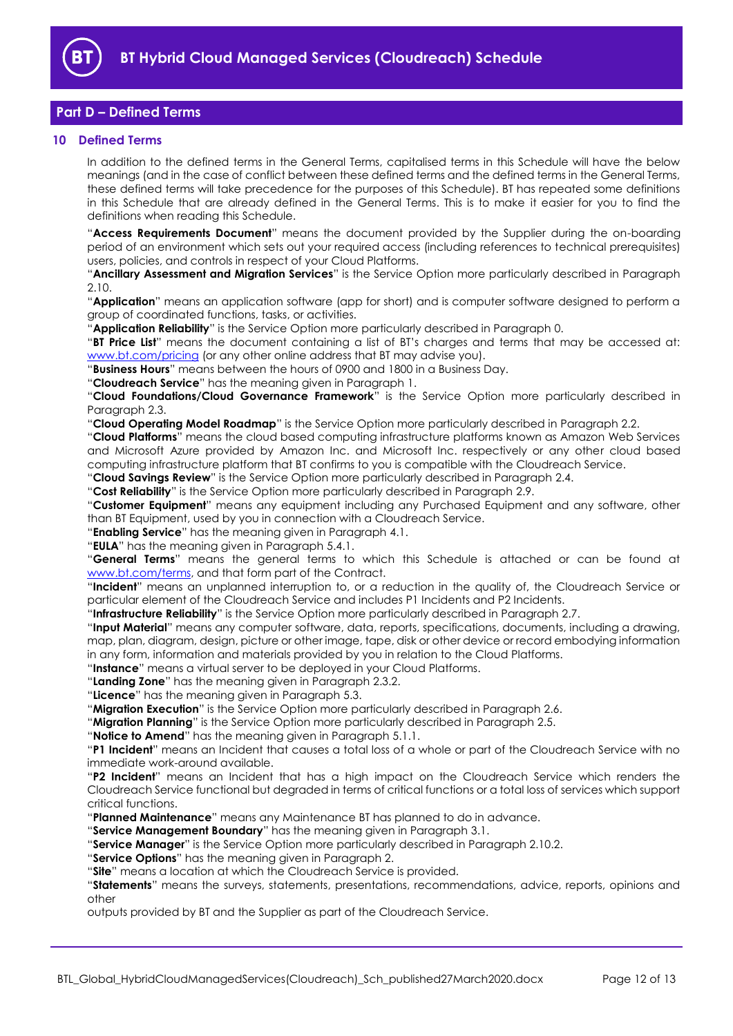

## <span id="page-11-0"></span>**Part D – Defined Terms**

#### <span id="page-11-1"></span>**10 Defined Terms**

In addition to the defined terms in the General Terms, capitalised terms in this Schedule will have the below meanings (and in the case of conflict between these defined terms and the defined terms in the General Terms, these defined terms will take precedence for the purposes of this Schedule). BT has repeated some definitions in this Schedule that are already defined in the General Terms. This is to make it easier for you to find the definitions when reading this Schedule.

"**Access Requirements Document**" means the document provided by the Supplier during the on-boarding period of an environment which sets out your required access (including references to technical prerequisites) users, policies, and controls in respect of your Cloud Platforms.

"**Ancillary Assessment and Migration Services**" is the Service Option more particularly described in Paragraph [2.10.](#page-2-2)

"**Application**" means an application software (app for short) and is computer software designed to perform a group of coordinated functions, tasks, or activities.

"**Application Reliability**" is the Service Option more particularly described in Paragraph [0.](#page-2-3)

"**BT Price List**" means the document containing a list of BT's charges and terms that may be accessed at: [www.bt.com/pricing](http://www.bt.com/pricing) (or any other online address that BT may advise you).

"**Business Hours**" means between the hours of 0900 and 1800 in a Business Day.

"**Cloudreach Service**" has the meaning given in Paragraph [1.](#page-1-3)

"**Cloud Foundations/Cloud Governance Framework**" is the Service Option more particularly described in Paragraph [2.3.](#page-1-6)

"**Cloud Operating Model Roadmap**" is the Service Option more particularly described in Paragrap[h 2.2.](#page-1-7)

"**Cloud Platforms**" means the cloud based computing infrastructure platforms known as Amazon Web Services and Microsoft Azure provided by Amazon Inc. and Microsoft Inc. respectively or any other cloud based computing infrastructure platform that BT confirms to you is compatible with the Cloudreach Service.

"**Cloud Savings Review**" is the Service Option more particularly described in Paragraph [2.4.](#page-1-8)

"**Cost Reliability**" is the Service Option more particularly described in Paragraph [2.9.](#page-2-4)

"**Customer Equipment**" means any equipment including any Purchased Equipment and any software, other than BT Equipment, used by you in connection with a Cloudreach Service.

"**Enabling Service**" has the meaning given in Paragrap[h 4.1.](#page-2-5)

"**EULA**" has the meaning given in Paragraph [5.4.1.](#page-4-0)

"**General Terms**" means the general terms to which this Schedule is attached or can be found at [www.bt.com/terms,](http://www.bt.com/terms) and that form part of the Contract.

"**Incident**" means an unplanned interruption to, or a reduction in the quality of, the Cloudreach Service or particular element of the Cloudreach Service and includes P1 Incidents and P2 Incidents.

"**Infrastructure Reliability**" is the Service Option more particularly described in Paragraph [2.7.](#page-2-6)

"**Input Material**" means any computer software, data, reports, specifications, documents, including a drawing, map, plan, diagram, design, picture or other image, tape, disk or other device or record embodying information in any form, information and materials provided by you in relation to the Cloud Platforms.

"**Instance**" means a virtual server to be deployed in your Cloud Platforms.

"**Landing Zone**" has the meaning given in Paragraph [2.3.2.](#page-1-9)

"**Licence**" has the meaning given in Paragraph [5.3.](#page-4-1)

"**Migration Execution**" is the Service Option more particularly described in Paragraph [2.6.](#page-1-10)

"**Migration Planning**" is the Service Option more particularly described in Paragraph [2.5.](#page-1-11)

"**Notice to Amend**" has the meaning given in Paragraph [5.1.1.](#page-3-7)

"**P1 Incident**" means an Incident that causes a total loss of a whole or part of the Cloudreach Service with no immediate work-around available.

"**P2 Incident**" means an Incident that has a high impact on the Cloudreach Service which renders the Cloudreach Service functional but degraded in terms of critical functions or a total loss of services which support critical functions.

"**Planned Maintenance**" means any Maintenance BT has planned to do in advance.

"**Service Management Boundary**" has the meaning given in Paragrap[h 3.1.](#page-2-7)

"**Service Manager**" is the Service Option more particularly described in Paragraph [2.10.2.](#page-2-8)

"**Service Options**" has the meaning given in Paragraph [2.](#page-1-4)

"**Site**" means a location at which the Cloudreach Service is provided.

"**Statements**" means the surveys, statements, presentations, recommendations, advice, reports, opinions and other

outputs provided by BT and the Supplier as part of the Cloudreach Service.